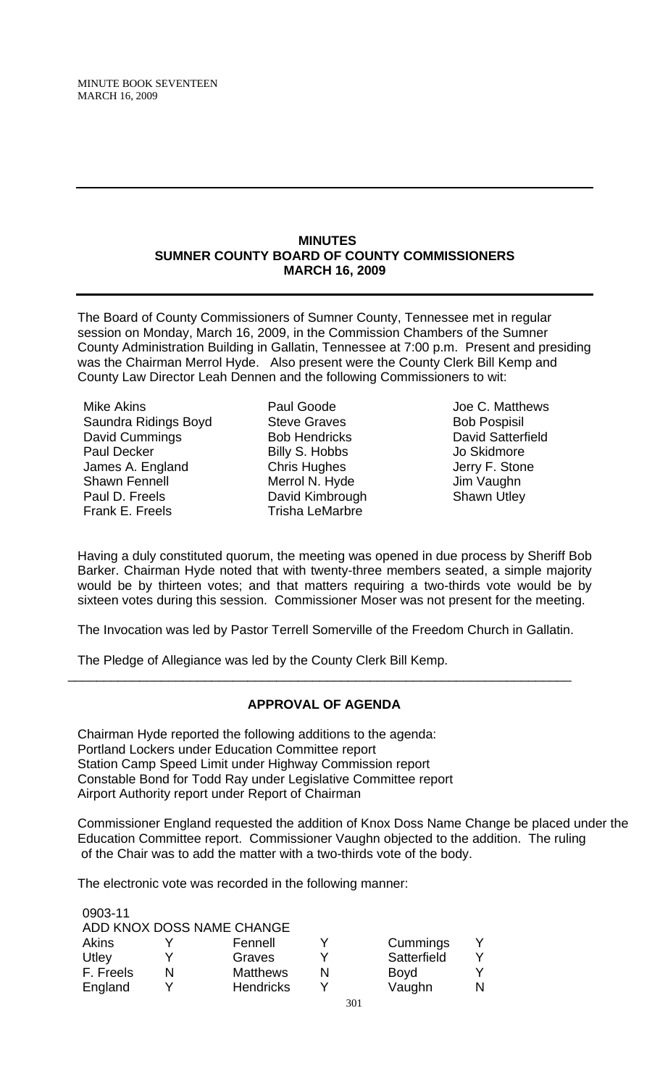#### **MINUTES SUMNER COUNTY BOARD OF COUNTY COMMISSIONERS MARCH 16, 2009**

The Board of County Commissioners of Sumner County, Tennessee met in regular session on Monday, March 16, 2009, in the Commission Chambers of the Sumner County Administration Building in Gallatin, Tennessee at 7:00 p.m. Present and presiding was the Chairman Merrol Hyde. Also present were the County Clerk Bill Kemp and County Law Director Leah Dennen and the following Commissioners to wit:

Mike Akins Saundra Ridings Boyd David Cummings Paul Decker James A. England Shawn Fennell Paul D. Freels Frank E. Freels

Paul Goode Steve Graves Bob Hendricks Billy S. Hobbs Chris Hughes Merrol N. Hyde David Kimbrough Trisha LeMarbre

Joe C. Matthews Bob Pospisil David Satterfield Jo Skidmore Jerry F. Stone Jim Vaughn Shawn Utley

Having a duly constituted quorum, the meeting was opened in due process by Sheriff Bob Barker. Chairman Hyde noted that with twenty-three members seated, a simple majority would be by thirteen votes; and that matters requiring a two-thirds vote would be by sixteen votes during this session. Commissioner Moser was not present for the meeting.

The Invocation was led by Pastor Terrell Somerville of the Freedom Church in Gallatin.

The Pledge of Allegiance was led by the County Clerk Bill Kemp.

# **APPROVAL OF AGENDA**

\_\_\_\_\_\_\_\_\_\_\_\_\_\_\_\_\_\_\_\_\_\_\_\_\_\_\_\_\_\_\_\_\_\_\_\_\_\_\_\_\_\_\_\_\_\_\_\_\_\_\_\_\_\_\_\_\_\_\_\_\_\_\_\_\_\_\_\_\_\_

Chairman Hyde reported the following additions to the agenda: Portland Lockers under Education Committee report Station Camp Speed Limit under Highway Commission report Constable Bond for Todd Ray under Legislative Committee report Airport Authority report under Report of Chairman

Commissioner England requested the addition of Knox Doss Name Change be placed under the Education Committee report. Commissioner Vaughn objected to the addition. The ruling of the Chair was to add the matter with a two-thirds vote of the body.

The electronic vote was recorded in the following manner:

| 0903-11   |   | ADD KNOX DOSS NAME CHANGE |             |    |
|-----------|---|---------------------------|-------------|----|
|           |   |                           |             |    |
| Akins     |   | Fennell                   | Cummings    |    |
| Utley     |   | Graves                    | Satterfield |    |
| F. Freels | N | <b>Matthews</b>           | Boyd        |    |
| England   |   | <b>Hendricks</b>          | Vaughn      | N. |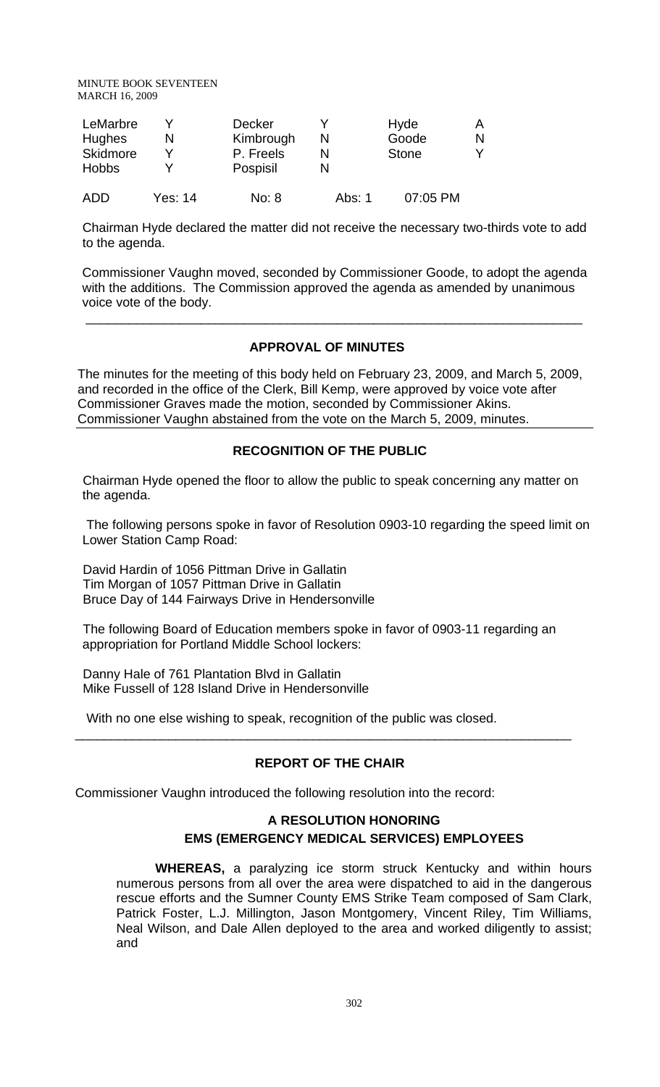MINUTE BOOK SEVENTEEN MARCH 16, 2009

| LeMarbre<br>Hughes<br>Skidmore<br><b>Hobbs</b> |         | <b>Decker</b><br>Kimbrough<br>P. Freels<br>Pospisil |        | Hyde<br>Goode<br><b>Stone</b> | N |
|------------------------------------------------|---------|-----------------------------------------------------|--------|-------------------------------|---|
| ADD                                            | Yes: 14 | No: 8                                               | Abs: 1 | 07:05 PM                      |   |

Chairman Hyde declared the matter did not receive the necessary two-thirds vote to add to the agenda.

 Commissioner Vaughn moved, seconded by Commissioner Goode, to adopt the agenda with the additions. The Commission approved the agenda as amended by unanimous voice vote of the body.

### **APPROVAL OF MINUTES**

\_\_\_\_\_\_\_\_\_\_\_\_\_\_\_\_\_\_\_\_\_\_\_\_\_\_\_\_\_\_\_\_\_\_\_\_\_\_\_\_\_\_\_\_\_\_\_\_\_\_\_\_\_\_\_\_\_\_\_\_\_\_\_\_\_\_\_\_\_

The minutes for the meeting of this body held on February 23, 2009, and March 5, 2009, and recorded in the office of the Clerk, Bill Kemp, were approved by voice vote after Commissioner Graves made the motion, seconded by Commissioner Akins. Commissioner Vaughn abstained from the vote on the March 5, 2009, minutes.

# **RECOGNITION OF THE PUBLIC**

Chairman Hyde opened the floor to allow the public to speak concerning any matter on the agenda.

 The following persons spoke in favor of Resolution 0903-10 regarding the speed limit on Lower Station Camp Road:

David Hardin of 1056 Pittman Drive in Gallatin Tim Morgan of 1057 Pittman Drive in Gallatin Bruce Day of 144 Fairways Drive in Hendersonville

The following Board of Education members spoke in favor of 0903-11 regarding an appropriation for Portland Middle School lockers:

Danny Hale of 761 Plantation Blvd in Gallatin Mike Fussell of 128 Island Drive in Hendersonville

With no one else wishing to speak, recognition of the public was closed.

# **REPORT OF THE CHAIR**

 $\overline{\phantom{a}}$  , and the contribution of the contribution of the contribution of the contribution of the contribution of  $\overline{\phantom{a}}$ 

Commissioner Vaughn introduced the following resolution into the record:

# **A RESOLUTION HONORING EMS (EMERGENCY MEDICAL SERVICES) EMPLOYEES**

 **WHEREAS,** a paralyzing ice storm struck Kentucky and within hours numerous persons from all over the area were dispatched to aid in the dangerous rescue efforts and the Sumner County EMS Strike Team composed of Sam Clark, Patrick Foster, L.J. Millington, Jason Montgomery, Vincent Riley, Tim Williams, Neal Wilson, and Dale Allen deployed to the area and worked diligently to assist; and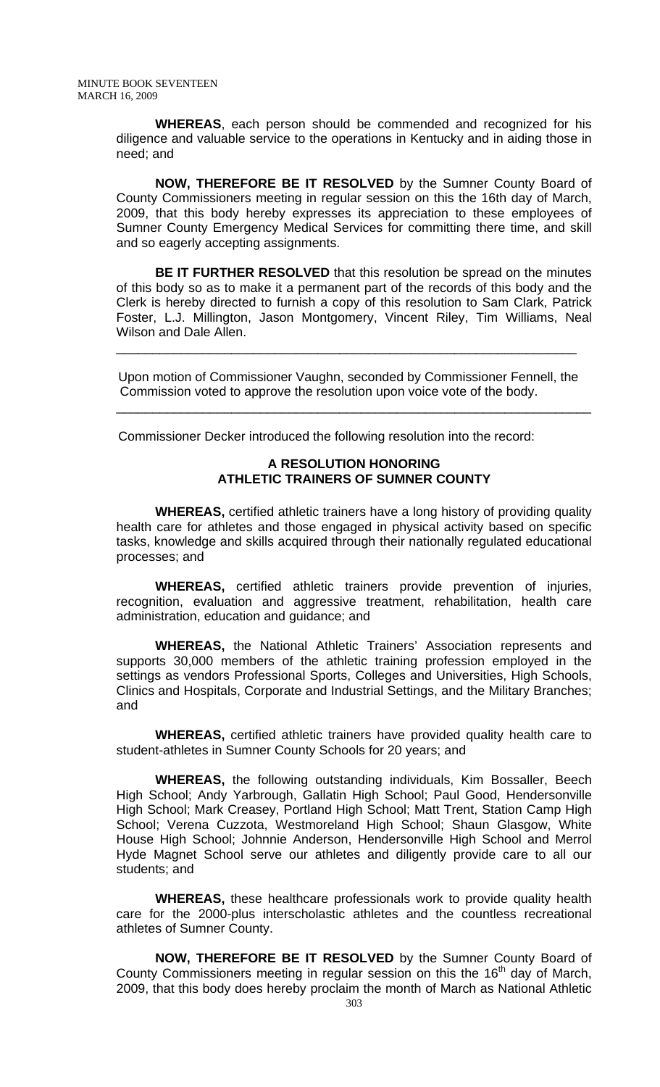**WHEREAS**, each person should be commended and recognized for his diligence and valuable service to the operations in Kentucky and in aiding those in need; and

**NOW, THEREFORE BE IT RESOLVED** by the Sumner County Board of County Commissioners meeting in regular session on this the 16th day of March, 2009, that this body hereby expresses its appreciation to these employees of Sumner County Emergency Medical Services for committing there time, and skill and so eagerly accepting assignments.

**BE IT FURTHER RESOLVED** that this resolution be spread on the minutes of this body so as to make it a permanent part of the records of this body and the Clerk is hereby directed to furnish a copy of this resolution to Sam Clark, Patrick Foster, L.J. Millington, Jason Montgomery, Vincent Riley, Tim Williams, Neal Wilson and Dale Allen.

Upon motion of Commissioner Vaughn, seconded by Commissioner Fennell, the Commission voted to approve the resolution upon voice vote of the body.

\_\_\_\_\_\_\_\_\_\_\_\_\_\_\_\_\_\_\_\_\_\_\_\_\_\_\_\_\_\_\_\_\_\_\_\_\_\_\_\_\_\_\_\_\_\_\_\_\_\_\_\_\_\_\_\_\_\_\_\_\_\_\_\_\_\_

\_\_\_\_\_\_\_\_\_\_\_\_\_\_\_\_\_\_\_\_\_\_\_\_\_\_\_\_\_\_\_\_\_\_\_\_\_\_\_\_\_\_\_\_\_\_\_\_\_\_\_\_\_\_\_\_\_\_\_\_\_\_\_\_

Commissioner Decker introduced the following resolution into the record:

### **A RESOLUTION HONORING ATHLETIC TRAINERS OF SUMNER COUNTY**

 **WHEREAS,** certified athletic trainers have a long history of providing quality health care for athletes and those engaged in physical activity based on specific tasks, knowledge and skills acquired through their nationally regulated educational processes; and

**WHEREAS,** certified athletic trainers provide prevention of injuries, recognition, evaluation and aggressive treatment, rehabilitation, health care administration, education and guidance; and

**WHEREAS,** the National Athletic Trainers' Association represents and supports 30,000 members of the athletic training profession employed in the settings as vendors Professional Sports, Colleges and Universities, High Schools, Clinics and Hospitals, Corporate and Industrial Settings, and the Military Branches; and

**WHEREAS,** certified athletic trainers have provided quality health care to student-athletes in Sumner County Schools for 20 years; and

 **WHEREAS,** the following outstanding individuals, Kim Bossaller, Beech High School; Andy Yarbrough, Gallatin High School; Paul Good, Hendersonville High School; Mark Creasey, Portland High School; Matt Trent, Station Camp High School; Verena Cuzzota, Westmoreland High School; Shaun Glasgow, White House High School; Johnnie Anderson, Hendersonville High School and Merrol Hyde Magnet School serve our athletes and diligently provide care to all our students; and

**WHEREAS,** these healthcare professionals work to provide quality health care for the 2000-plus interscholastic athletes and the countless recreational athletes of Sumner County.

**NOW, THEREFORE BE IT RESOLVED** by the Sumner County Board of County Commissioners meeting in regular session on this the 16<sup>th</sup> day of March, 2009, that this body does hereby proclaim the month of March as National Athletic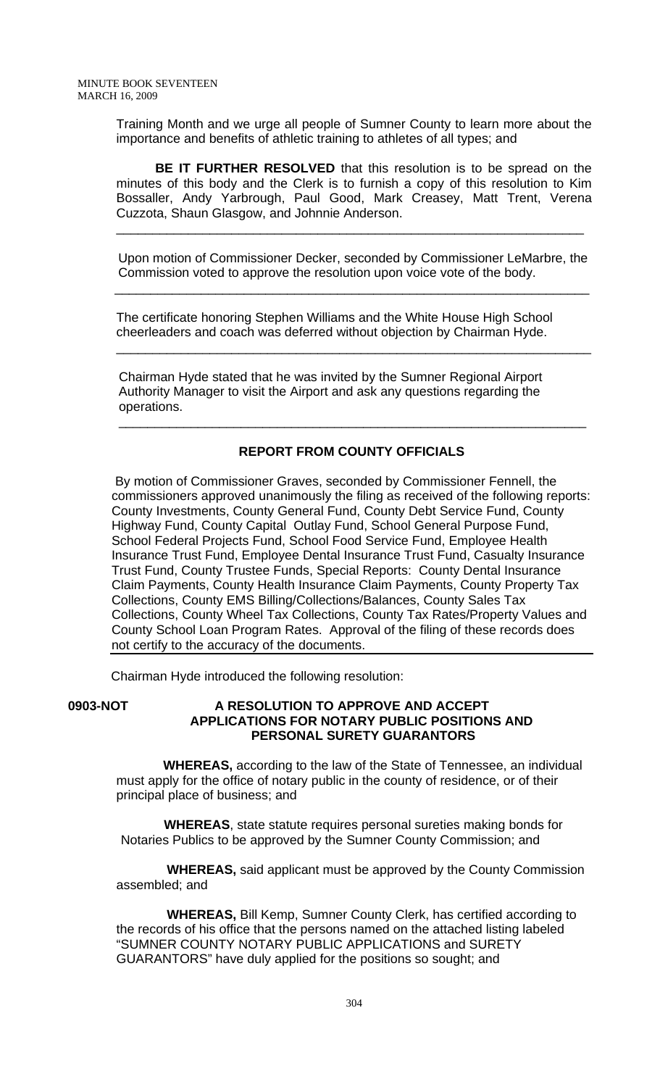Training Month and we urge all people of Sumner County to learn more about the importance and benefits of athletic training to athletes of all types; and

**BE IT FURTHER RESOLVED** that this resolution is to be spread on the minutes of this body and the Clerk is to furnish a copy of this resolution to Kim Bossaller, Andy Yarbrough, Paul Good, Mark Creasey, Matt Trent, Verena Cuzzota, Shaun Glasgow, and Johnnie Anderson.

 Upon motion of Commissioner Decker, seconded by Commissioner LeMarbre, the Commission voted to approve the resolution upon voice vote of the body.

\_\_\_\_\_\_\_\_\_\_\_\_\_\_\_\_\_\_\_\_\_\_\_\_\_\_\_\_\_\_\_\_\_\_\_\_\_\_\_\_\_\_\_\_\_\_\_\_\_\_\_\_\_\_\_\_\_\_\_\_\_\_\_\_\_\_

\_\_\_\_\_\_\_\_\_\_\_\_\_\_\_\_\_\_\_\_\_\_\_\_\_\_\_\_\_\_\_\_\_\_\_\_\_\_\_\_\_\_\_\_\_\_\_\_\_\_\_\_\_\_\_\_\_\_\_\_\_\_\_\_\_

The certificate honoring Stephen Williams and the White House High School cheerleaders and coach was deferred without objection by Chairman Hyde.

 $\frac{1}{\sqrt{2}}$  ,  $\frac{1}{\sqrt{2}}$  ,  $\frac{1}{\sqrt{2}}$  ,  $\frac{1}{\sqrt{2}}$  ,  $\frac{1}{\sqrt{2}}$  ,  $\frac{1}{\sqrt{2}}$  ,  $\frac{1}{\sqrt{2}}$  ,  $\frac{1}{\sqrt{2}}$  ,  $\frac{1}{\sqrt{2}}$  ,  $\frac{1}{\sqrt{2}}$  ,  $\frac{1}{\sqrt{2}}$  ,  $\frac{1}{\sqrt{2}}$  ,  $\frac{1}{\sqrt{2}}$  ,  $\frac{1}{\sqrt{2}}$  ,  $\frac{1}{\sqrt{2}}$ 

 Chairman Hyde stated that he was invited by the Sumner Regional Airport Authority Manager to visit the Airport and ask any questions regarding the operations.

# **REPORT FROM COUNTY OFFICIALS**

 $\overline{\phantom{a}}$  , and the contribution of the contribution of the contribution of the contribution of the contribution of the contribution of the contribution of the contribution of the contribution of the contribution of the

 By motion of Commissioner Graves, seconded by Commissioner Fennell, the commissioners approved unanimously the filing as received of the following reports: County Investments, County General Fund, County Debt Service Fund, County Highway Fund, County Capital Outlay Fund, School General Purpose Fund, School Federal Projects Fund, School Food Service Fund, Employee Health Insurance Trust Fund, Employee Dental Insurance Trust Fund, Casualty Insurance Trust Fund, County Trustee Funds, Special Reports: County Dental Insurance Claim Payments, County Health Insurance Claim Payments, County Property Tax Collections, County EMS Billing/Collections/Balances, County Sales Tax Collections, County Wheel Tax Collections, County Tax Rates/Property Values and County School Loan Program Rates. Approval of the filing of these records does not certify to the accuracy of the documents.

Chairman Hyde introduced the following resolution:

### **0903-NOT A RESOLUTION TO APPROVE AND ACCEPT APPLICATIONS FOR NOTARY PUBLIC POSITIONS AND PERSONAL SURETY GUARANTORS**

 **WHEREAS,** according to the law of the State of Tennessee, an individual must apply for the office of notary public in the county of residence, or of their principal place of business; and

 **WHEREAS**, state statute requires personal sureties making bonds for Notaries Publics to be approved by the Sumner County Commission; and

 **WHEREAS,** said applicant must be approved by the County Commission assembled; and

 **WHEREAS,** Bill Kemp, Sumner County Clerk, has certified according to the records of his office that the persons named on the attached listing labeled "SUMNER COUNTY NOTARY PUBLIC APPLICATIONS and SURETY GUARANTORS" have duly applied for the positions so sought; and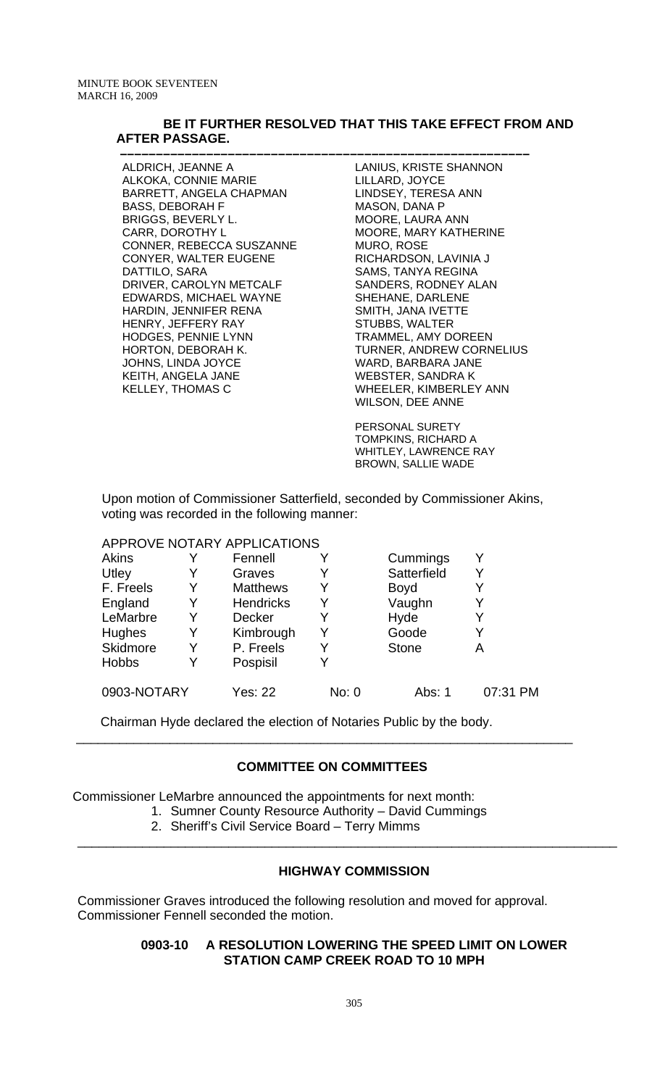#### **BE IT FURTHER RESOLVED THAT THIS TAKE EFFECT FROM AND AFTER PASSAGE.**

ALDRICH, JEANNE A ALKOKA, CONNIE MARIE BARRETT, ANGELA CHAPMAN BASS, DEBORAH F BRIGGS, BEVERLY L. CARR, DOROTHY L CONNER, REBECCA SUSZANNE CONYER, WALTER EUGENE DATTILO, SARA DRIVER, CAROLYN METCALF EDWARDS, MICHAEL WAYNE HARDIN, JENNIFER RENA HENRY, JEFFERY RAY HODGES, PENNIE LYNN HORTON, DEBORAH K. JOHNS, LINDA JOYCE KEITH, ANGELA JANE KELLEY, THOMAS C

 **–––––––––––––––––––––––––––––––––––––––––––––––––––––––––** LANIUS, KRISTE SHANNON LILLARD, JOYCE LINDSEY, TERESA ANN MASON, DANA P MOORE, LAURA ANN MOORE, MARY KATHERINE MURO, ROSE RICHARDSON, LAVINIA J SAMS, TANYA REGINA SANDERS, RODNEY ALAN SHEHANE, DARLENE SMITH, JANA IVETTE STUBBS, WALTER TRAMMEL, AMY DOREEN TURNER, ANDREW CORNELIUS WARD, BARBARA JANE WEBSTER, SANDRA K WHEELER, KIMBERLEY ANN WILSON, DEE ANNE

PERSONAL SURETY TOMPKINS, RICHARD A WHITLEY, LAWRENCE RAY BROWN, SALLIE WADE

Upon motion of Commissioner Satterfield, seconded by Commissioner Akins, voting was recorded in the following manner:

# APPROVE NOTARY APPLICATIONS

| Akins        |   | Fennell          |       | Cummings     |          |
|--------------|---|------------------|-------|--------------|----------|
| Utley        | Y | Graves           | Y     | Satterfield  |          |
| F. Freels    |   | <b>Matthews</b>  | Y     | <b>Boyd</b>  |          |
| England      | Y | <b>Hendricks</b> | Y     | Vaughn       |          |
| LeMarbre     | Y | <b>Decker</b>    | Y     | Hyde         |          |
| Hughes       |   | Kimbrough        | Y     | Goode        |          |
| Skidmore     | Y | P. Freels        | Y     | <b>Stone</b> | А        |
| <b>Hobbs</b> |   | Pospisil         | Y     |              |          |
| 0903-NOTARY  |   | <b>Yes: 22</b>   | No: 0 | Abs: 1       | 07:31 PM |

Chairman Hyde declared the election of Notaries Public by the body.

### **COMMITTEE ON COMMITTEES**

\_\_\_\_\_\_\_\_\_\_\_\_\_\_\_\_\_\_\_\_\_\_\_\_\_\_\_\_\_\_\_\_\_\_\_\_\_\_\_\_\_\_\_\_\_\_\_\_\_\_\_\_\_\_\_\_\_\_\_\_\_\_\_\_\_\_\_\_\_

Commissioner LeMarbre announced the appointments for next month:

- 1. Sumner County Resource Authority David Cummings
	- 2. Sheriff's Civil Service Board Terry Mimms

### **HIGHWAY COMMISSION**

\_\_\_\_\_\_\_\_\_\_\_\_\_\_\_\_\_\_\_\_\_\_\_\_\_\_\_\_\_\_\_\_\_\_\_\_\_\_\_\_\_\_\_\_\_\_\_\_\_\_\_\_\_\_\_\_\_\_\_\_\_\_\_\_\_\_\_\_\_\_\_\_\_\_\_

Commissioner Graves introduced the following resolution and moved for approval. Commissioner Fennell seconded the motion.

### **0903-10 A RESOLUTION LOWERING THE SPEED LIMIT ON LOWER STATION CAMP CREEK ROAD TO 10 MPH**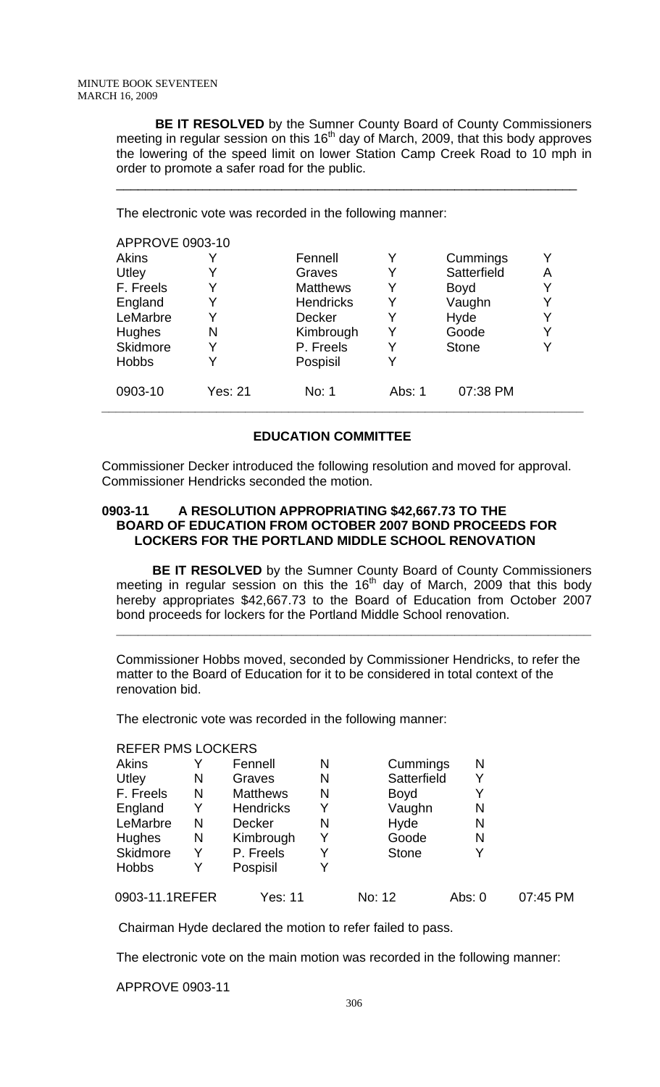**BE IT RESOLVED** by the Sumner County Board of County Commissioners meeting in regular session on this  $16<sup>th</sup>$  day of March, 2009, that this body approves the lowering of the speed limit on lower Station Camp Creek Road to 10 mph in order to promote a safer road for the public.

\_\_\_\_\_\_\_\_\_\_\_\_\_\_\_\_\_\_\_\_\_\_\_\_\_\_\_\_\_\_\_\_\_\_\_\_\_\_\_\_\_\_\_\_\_\_\_\_\_\_\_\_\_\_\_\_\_\_\_\_\_\_\_\_

The electronic vote was recorded in the following manner:

| <b>APPROVE 0903-10</b> |                  |        |              |   |
|------------------------|------------------|--------|--------------|---|
|                        | Fennell          | Y      | Cummings     |   |
|                        | Graves           |        | Satterfield  | Α |
| Y                      | <b>Matthews</b>  | Y      | <b>Boyd</b>  |   |
| Y                      | <b>Hendricks</b> | Y      | Vaughn       |   |
|                        | <b>Decker</b>    |        | Hyde         |   |
| N                      | Kimbrough        |        | Goode        |   |
| Y                      | P. Freels        |        | <b>Stone</b> |   |
|                        | Pospisil         |        |              |   |
| Yes: 21                | No: 1            | Abs: 1 | 07:38 PM     |   |
|                        |                  |        |              |   |

# **EDUCATION COMMITTEE**

Commissioner Decker introduced the following resolution and moved for approval. Commissioner Hendricks seconded the motion.

# **0903-11 A RESOLUTION APPROPRIATING \$42,667.73 TO THE BOARD OF EDUCATION FROM OCTOBER 2007 BOND PROCEEDS FOR LOCKERS FOR THE PORTLAND MIDDLE SCHOOL RENOVATION**

 **BE IT RESOLVED** by the Sumner County Board of County Commissioners meeting in regular session on this the  $16<sup>th</sup>$  day of March, 2009 that this body hereby appropriates \$42,667.73 to the Board of Education from October 2007 bond proceeds for lockers for the Portland Middle School renovation.

**\_\_\_\_\_\_\_\_\_\_\_\_\_\_\_\_\_\_\_\_\_\_\_\_\_\_\_\_\_\_\_\_\_\_\_\_\_\_\_\_\_\_\_\_\_\_\_\_\_\_\_\_\_\_\_\_\_\_\_\_\_\_\_\_\_\_**

Commissioner Hobbs moved, seconded by Commissioner Hendricks, to refer the matter to the Board of Education for it to be considered in total context of the renovation bid.

The electronic vote was recorded in the following manner:

### REFER PMS LOCKERS

| Akins          |   | Fennell          | N | Cummings     | N      |          |
|----------------|---|------------------|---|--------------|--------|----------|
| Utley          | N | Graves           | N | Satterfield  |        |          |
| F. Freels      | N | <b>Matthews</b>  | N | <b>Boyd</b>  |        |          |
| England        | Y | <b>Hendricks</b> | Y | Vaughn       | N      |          |
| LeMarbre       | N | <b>Decker</b>    | N | Hyde         | N      |          |
| Hughes         | N | Kimbrough        | Y | Goode        | N      |          |
| Skidmore       | Y | P. Freels        | Y | <b>Stone</b> |        |          |
| <b>Hobbs</b>   |   | Pospisil         |   |              |        |          |
| 0903-11.1REFER |   | Yes: 11          |   | No: 12       | Abs: 0 | 07:45 PM |

Chairman Hyde declared the motion to refer failed to pass.

The electronic vote on the main motion was recorded in the following manner:

APPROVE 0903-11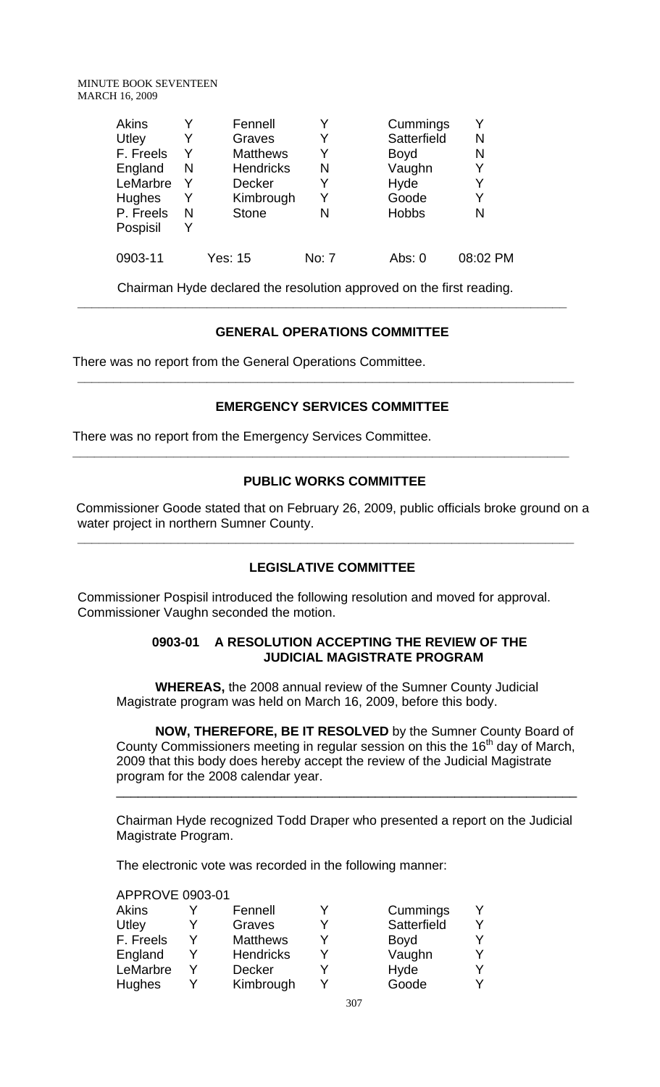| <b>Akins</b> |   | Fennell          |       | Cummings     |          |
|--------------|---|------------------|-------|--------------|----------|
| Utley        | Y | Graves           |       | Satterfield  | N        |
| F. Freels    | Y | <b>Matthews</b>  |       | <b>Boyd</b>  | N        |
| England      | N | <b>Hendricks</b> | N     | Vaughn       | Y        |
| LeMarbre     | Y | <b>Decker</b>    |       | Hyde         | Y        |
| Hughes       | Y | Kimbrough        | Y     | Goode        | Y        |
| P. Freels    | N | <b>Stone</b>     | N     | <b>Hobbs</b> | N        |
| Pospisil     | Y |                  |       |              |          |
| 0903-11      |   | Yes: 15          | No: 7 | Abs: 0       | 08:02 PM |

Chairman Hyde declared the resolution approved on the first reading.

**\_\_\_\_\_\_\_\_\_\_\_\_\_\_\_\_\_\_\_\_\_\_\_\_\_\_\_\_\_\_\_\_\_\_\_\_\_\_\_\_\_\_\_\_\_\_\_\_\_\_\_\_\_\_\_\_\_\_\_\_\_\_\_\_\_\_\_\_** 

# **GENERAL OPERATIONS COMMITTEE**

There was no report from the General Operations Committee.

# **EMERGENCY SERVICES COMMITTEE**

**\_\_\_\_\_\_\_\_\_\_\_\_\_\_\_\_\_\_\_\_\_\_\_\_\_\_\_\_\_\_\_\_\_\_\_\_\_\_\_\_\_\_\_\_\_\_\_\_\_\_\_\_\_\_\_\_\_\_\_\_\_\_\_\_\_\_\_\_\_** 

There was no report from the Emergency Services Committee.

# **PUBLIC WORKS COMMITTEE**

**\_\_\_\_\_\_\_\_\_\_\_\_\_\_\_\_\_\_\_\_\_\_\_\_\_\_\_\_\_\_\_\_\_\_\_\_\_\_\_\_\_\_\_\_\_\_\_\_\_\_\_\_\_\_\_\_\_\_\_\_\_\_\_\_\_\_\_\_\_** 

 Commissioner Goode stated that on February 26, 2009, public officials broke ground on a water project in northern Sumner County.

# **LEGISLATIVE COMMITTEE**

**\_\_\_\_\_\_\_\_\_\_\_\_\_\_\_\_\_\_\_\_\_\_\_\_\_\_\_\_\_\_\_\_\_\_\_\_\_\_\_\_\_\_\_\_\_\_\_\_\_\_\_\_\_\_\_\_\_\_\_\_\_\_\_\_\_\_\_\_\_** 

Commissioner Pospisil introduced the following resolution and moved for approval. Commissioner Vaughn seconded the motion.

### **0903-01 A RESOLUTION ACCEPTING THE REVIEW OF THE JUDICIAL MAGISTRATE PROGRAM**

**WHEREAS,** the 2008 annual review of the Sumner County Judicial Magistrate program was held on March 16, 2009, before this body.

 **NOW, THEREFORE, BE IT RESOLVED** by the Sumner County Board of County Commissioners meeting in regular session on this the  $16<sup>th</sup>$  day of March, 2009 that this body does hereby accept the review of the Judicial Magistrate program for the 2008 calendar year.

\_\_\_\_\_\_\_\_\_\_\_\_\_\_\_\_\_\_\_\_\_\_\_\_\_\_\_\_\_\_\_\_\_\_\_\_\_\_\_\_\_\_\_\_\_\_\_\_\_\_\_\_\_\_\_\_\_\_\_\_\_\_\_\_

Chairman Hyde recognized Todd Draper who presented a report on the Judicial Magistrate Program.

The electronic vote was recorded in the following manner:

### APPROVE 0903-01

| <b>Akins</b>  | Fennell          |   | Cummings    |  |
|---------------|------------------|---|-------------|--|
| Utley         | Graves           |   | Satterfield |  |
| F. Freels     | <b>Matthews</b>  | ∨ | <b>Boyd</b> |  |
| England       | <b>Hendricks</b> |   | Vaughn      |  |
| LeMarbre      | <b>Decker</b>    |   | Hyde        |  |
| <b>Hughes</b> | Kimbrough        |   | Goode       |  |
|               |                  |   |             |  |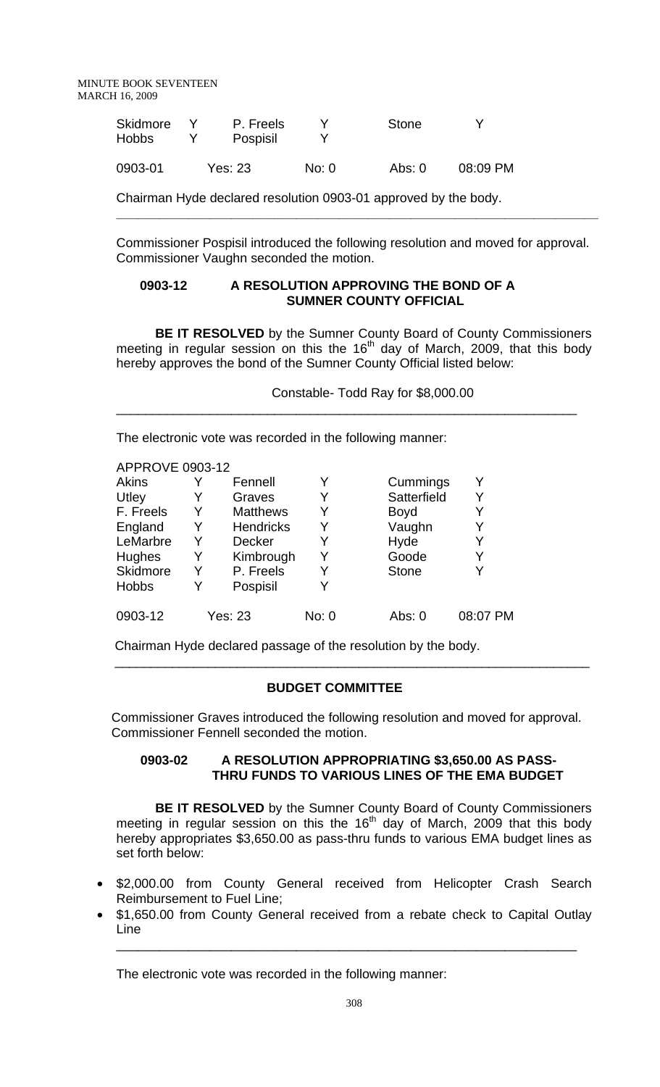| Skidmore<br>Hobbs | P. Freels<br>Pospisil |       | Stone  |          |
|-------------------|-----------------------|-------|--------|----------|
| 0903-01           | Yes: 23               | No: 0 | Abs: 0 | 08:09 PM |

Chairman Hyde declared resolution 0903-01 approved by the body.

Commissioner Pospisil introduced the following resolution and moved for approval. Commissioner Vaughn seconded the motion.

**\_\_\_\_\_\_\_\_\_\_\_\_\_\_\_\_\_\_\_\_\_\_\_\_\_\_\_\_\_\_\_\_\_\_\_\_\_\_\_\_\_\_\_\_\_\_\_\_\_\_\_\_\_\_\_\_\_\_\_\_\_\_\_\_\_\_\_** 

### **0903-12 A RESOLUTION APPROVING THE BOND OF A SUMNER COUNTY OFFICIAL**

 **BE IT RESOLVED** by the Sumner County Board of County Commissioners meeting in regular session on this the 16<sup>th</sup> day of March, 2009, that this body hereby approves the bond of the Sumner County Official listed below:

\_\_\_\_\_\_\_\_\_\_\_\_\_\_\_\_\_\_\_\_\_\_\_\_\_\_\_\_\_\_\_\_\_\_\_\_\_\_\_\_\_\_\_\_\_\_\_\_\_\_\_\_\_\_\_\_\_\_\_\_\_\_\_\_

Constable- Todd Ray for \$8,000.00

The electronic vote was recorded in the following manner:

|   | Fennell          |                | Cummings     | Y        |
|---|------------------|----------------|--------------|----------|
|   | Graves           |                | Satterfield  | Y        |
| Y | <b>Matthews</b>  |                | <b>Boyd</b>  | Y        |
| Y | <b>Hendricks</b> | Y              | Vaughn       | Y        |
| Y | <b>Decker</b>    |                | Hyde         | Y        |
| Y | Kimbrough        | Y              | Goode        | Y        |
| Y | P. Freels        |                | <b>Stone</b> | Y        |
|   | Pospisil         |                |              |          |
|   |                  | No: 0          | Abs: $0$     | 08:07 PM |
|   |                  | <b>Yes: 23</b> |              |          |

Chairman Hyde declared passage of the resolution by the body.

# **BUDGET COMMITTEE**

 $\frac{1}{\sqrt{2}}$  ,  $\frac{1}{\sqrt{2}}$  ,  $\frac{1}{\sqrt{2}}$  ,  $\frac{1}{\sqrt{2}}$  ,  $\frac{1}{\sqrt{2}}$  ,  $\frac{1}{\sqrt{2}}$  ,  $\frac{1}{\sqrt{2}}$  ,  $\frac{1}{\sqrt{2}}$  ,  $\frac{1}{\sqrt{2}}$  ,  $\frac{1}{\sqrt{2}}$  ,  $\frac{1}{\sqrt{2}}$  ,  $\frac{1}{\sqrt{2}}$  ,  $\frac{1}{\sqrt{2}}$  ,  $\frac{1}{\sqrt{2}}$  ,  $\frac{1}{\sqrt{2}}$ 

 Commissioner Graves introduced the following resolution and moved for approval. Commissioner Fennell seconded the motion.

# **0903-02 A RESOLUTION APPROPRIATING \$3,650.00 AS PASS- THRU FUNDS TO VARIOUS LINES OF THE EMA BUDGET**

**BE IT RESOLVED** by the Sumner County Board of County Commissioners meeting in regular session on this the 16<sup>th</sup> day of March, 2009 that this body hereby appropriates \$3,650.00 as pass-thru funds to various EMA budget lines as set forth below:

- \$2,000.00 from County General received from Helicopter Crash Search Reimbursement to Fuel Line;
- \$1,650.00 from County General received from a rebate check to Capital Outlay Line

\_\_\_\_\_\_\_\_\_\_\_\_\_\_\_\_\_\_\_\_\_\_\_\_\_\_\_\_\_\_\_\_\_\_\_\_\_\_\_\_\_\_\_\_\_\_\_\_\_\_\_\_\_\_\_\_\_\_\_\_\_\_\_\_

The electronic vote was recorded in the following manner: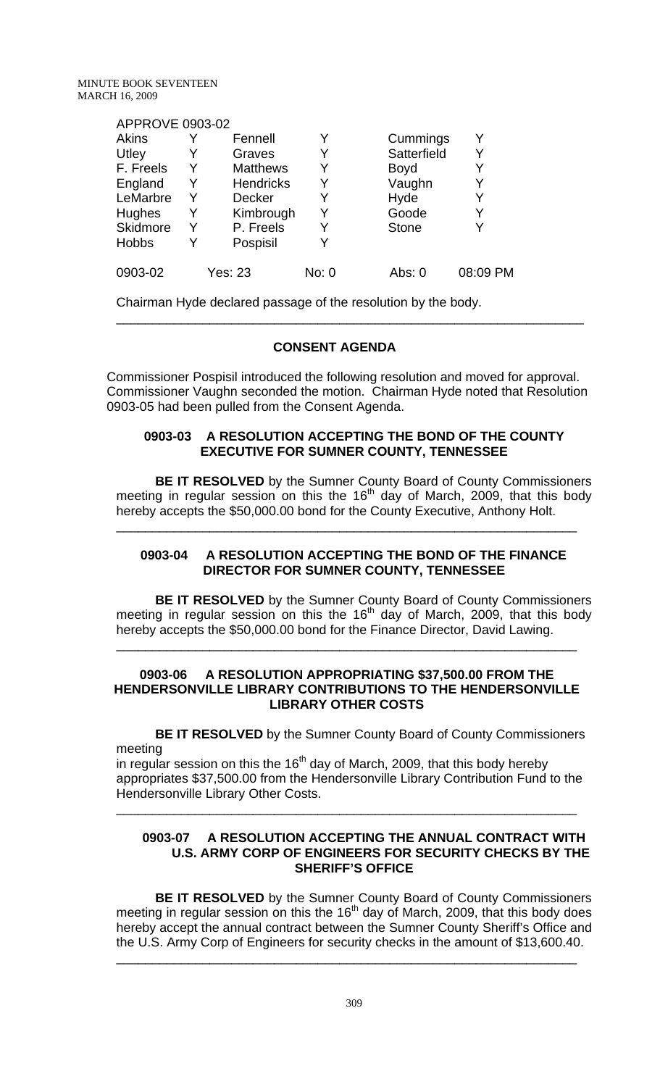### APPROVE 0903-02

| <b>Akins</b>    |   | Fennell          |       | Cummings     | Υ        |
|-----------------|---|------------------|-------|--------------|----------|
| Utley           | Y | Graves           |       | Satterfield  | Y        |
| F. Freels       | Y | <b>Matthews</b>  | Y     | <b>Boyd</b>  | Y        |
| England         | Y | <b>Hendricks</b> | Y     | Vaughn       | Y        |
| LeMarbre        | Y | <b>Decker</b>    |       | Hyde         | Y        |
| <b>Hughes</b>   | Y | Kimbrough        | Y     | Goode        | Y        |
| <b>Skidmore</b> | Y | P. Freels        |       | <b>Stone</b> | Y        |
| <b>Hobbs</b>    | Y | Pospisil         |       |              |          |
| 0903-02         |   | <b>Yes: 23</b>   | No: 0 | Abs: 0       | 08:09 PM |

Chairman Hyde declared passage of the resolution by the body.

# **CONSENT AGENDA**

Commissioner Pospisil introduced the following resolution and moved for approval. Commissioner Vaughn seconded the motion. Chairman Hyde noted that Resolution 0903-05 had been pulled from the Consent Agenda.

\_\_\_\_\_\_\_\_\_\_\_\_\_\_\_\_\_\_\_\_\_\_\_\_\_\_\_\_\_\_\_\_\_\_\_\_\_\_\_\_\_\_\_\_\_\_\_\_\_\_\_\_\_\_\_\_\_\_\_\_\_\_\_\_\_

### **0903-03 A RESOLUTION ACCEPTING THE BOND OF THE COUNTY EXECUTIVE FOR SUMNER COUNTY, TENNESSEE**

**BE IT RESOLVED** by the Sumner County Board of County Commissioners meeting in regular session on this the 16<sup>th</sup> day of March, 2009, that this body hereby accepts the \$50,000.00 bond for the County Executive, Anthony Holt.

\_\_\_\_\_\_\_\_\_\_\_\_\_\_\_\_\_\_\_\_\_\_\_\_\_\_\_\_\_\_\_\_\_\_\_\_\_\_\_\_\_\_\_\_\_\_\_\_\_\_\_\_\_\_\_\_\_\_\_\_\_\_\_\_

### **0903-04 A RESOLUTION ACCEPTING THE BOND OF THE FINANCE DIRECTOR FOR SUMNER COUNTY, TENNESSEE**

**BE IT RESOLVED** by the Sumner County Board of County Commissioners meeting in regular session on this the  $16<sup>th</sup>$  day of March, 2009, that this body hereby accepts the \$50,000.00 bond for the Finance Director, David Lawing.

### **0903-06 A RESOLUTION APPROPRIATING \$37,500.00 FROM THE HENDERSONVILLE LIBRARY CONTRIBUTIONS TO THE HENDERSONVILLE LIBRARY OTHER COSTS**

\_\_\_\_\_\_\_\_\_\_\_\_\_\_\_\_\_\_\_\_\_\_\_\_\_\_\_\_\_\_\_\_\_\_\_\_\_\_\_\_\_\_\_\_\_\_\_\_\_\_\_\_\_\_\_\_\_\_\_\_\_\_\_\_

 **BE IT RESOLVED** by the Sumner County Board of County Commissioners meeting

in regular session on this the 16<sup>th</sup> day of March, 2009, that this body hereby appropriates \$37,500.00 from the Hendersonville Library Contribution Fund to the Hendersonville Library Other Costs.

\_\_\_\_\_\_\_\_\_\_\_\_\_\_\_\_\_\_\_\_\_\_\_\_\_\_\_\_\_\_\_\_\_\_\_\_\_\_\_\_\_\_\_\_\_\_\_\_\_\_\_\_\_\_\_\_\_\_\_\_\_\_\_\_

### **0903-07 A RESOLUTION ACCEPTING THE ANNUAL CONTRACT WITH U.S. ARMY CORP OF ENGINEERS FOR SECURITY CHECKS BY THE SHERIFF'S OFFICE**

 **BE IT RESOLVED** by the Sumner County Board of County Commissioners meeting in regular session on this the  $16<sup>th</sup>$  day of March, 2009, that this body does hereby accept the annual contract between the Sumner County Sheriff's Office and the U.S. Army Corp of Engineers for security checks in the amount of \$13,600.40.

\_\_\_\_\_\_\_\_\_\_\_\_\_\_\_\_\_\_\_\_\_\_\_\_\_\_\_\_\_\_\_\_\_\_\_\_\_\_\_\_\_\_\_\_\_\_\_\_\_\_\_\_\_\_\_\_\_\_\_\_\_\_\_\_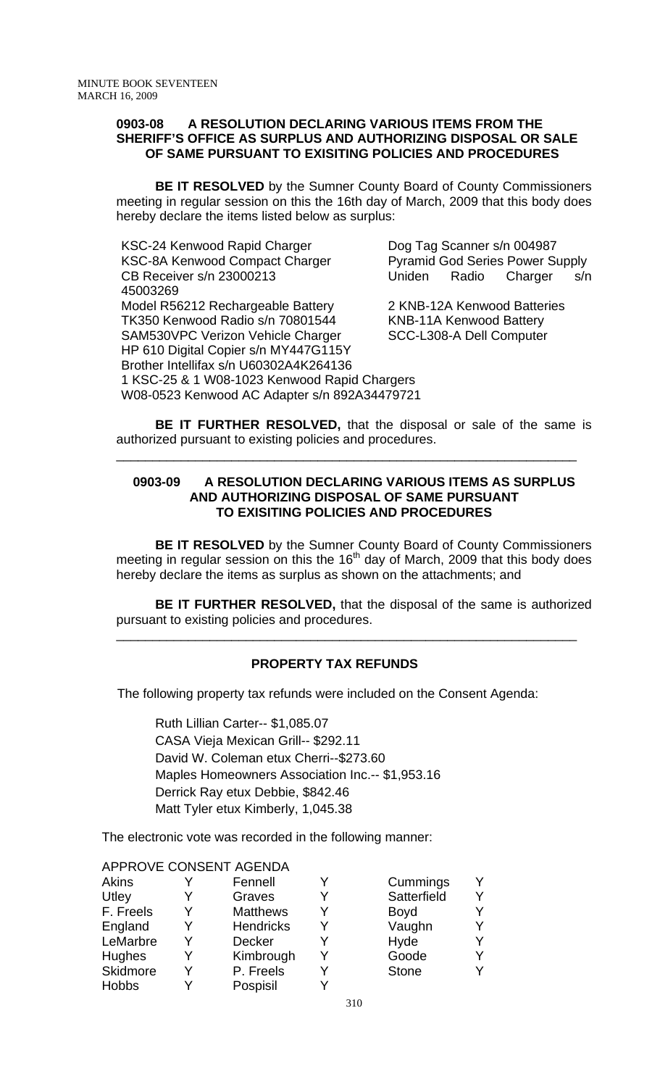#### **0903-08 A RESOLUTION DECLARING VARIOUS ITEMS FROM THE SHERIFF'S OFFICE AS SURPLUS AND AUTHORIZING DISPOSAL OR SALE OF SAME PURSUANT TO EXISITING POLICIES AND PROCEDURES**

**BE IT RESOLVED** by the Sumner County Board of County Commissioners meeting in regular session on this the 16th day of March, 2009 that this body does hereby declare the items listed below as surplus:

KSC-24 Kenwood Rapid Charger Dog Tag Scanner s/n 004987 KSC-8A Kenwood Compact Charger Pyramid God Series Power Supply CB Receiver s/n 23000213 Uniden Radio Charger s/n 45003269 Model R56212 Rechargeable Battery 2 KNB-12A Kenwood Batteries TK350 Kenwood Radio s/n 70801544 KNB-11A Kenwood Battery SAM530VPC Verizon Vehicle Charger SCC-L308-A Dell Computer HP 610 Digital Copier s/n MY447G115Y Brother Intellifax s/n U60302A4K264136 1 KSC-25 & 1 W08-1023 Kenwood Rapid Chargers W08-0523 Kenwood AC Adapter s/n 892A34479721

**BE IT FURTHER RESOLVED,** that the disposal or sale of the same is authorized pursuant to existing policies and procedures.

\_\_\_\_\_\_\_\_\_\_\_\_\_\_\_\_\_\_\_\_\_\_\_\_\_\_\_\_\_\_\_\_\_\_\_\_\_\_\_\_\_\_\_\_\_\_\_\_\_\_\_\_\_\_\_\_\_\_\_\_\_\_\_\_

# **0903-09 A RESOLUTION DECLARING VARIOUS ITEMS AS SURPLUS AND AUTHORIZING DISPOSAL OF SAME PURSUANT TO EXISITING POLICIES AND PROCEDURES**

 **BE IT RESOLVED** by the Sumner County Board of County Commissioners meeting in regular session on this the  $16<sup>th</sup>$  day of March, 2009 that this body does hereby declare the items as surplus as shown on the attachments; and

**BE IT FURTHER RESOLVED,** that the disposal of the same is authorized pursuant to existing policies and procedures.

\_\_\_\_\_\_\_\_\_\_\_\_\_\_\_\_\_\_\_\_\_\_\_\_\_\_\_\_\_\_\_\_\_\_\_\_\_\_\_\_\_\_\_\_\_\_\_\_\_\_\_\_\_\_\_\_\_\_\_\_\_\_\_\_

# **PROPERTY TAX REFUNDS**

The following property tax refunds were included on the Consent Agenda:

Ruth Lillian Carter-- \$1,085.07 CASA Vieja Mexican Grill-- \$292.11 David W. Coleman etux Cherri--\$273.60 Maples Homeowners Association Inc.-- \$1,953.16 Derrick Ray etux Debbie, \$842.46 Matt Tyler etux Kimberly, 1,045.38

The electronic vote was recorded in the following manner:

|                 |   | AFFRUVE CUNSENT AGENDA |   |              |  |
|-----------------|---|------------------------|---|--------------|--|
| <b>Akins</b>    |   | Fennell                |   | Cummings     |  |
| Utley           |   | Graves                 |   | Satterfield  |  |
| F. Freels       | Y | <b>Matthews</b>        | Y | Boyd         |  |
| England         |   | <b>Hendricks</b>       |   | Vaughn       |  |
| LeMarbre        | Y | <b>Decker</b>          |   | Hyde         |  |
| <b>Hughes</b>   | Y | Kimbrough              | v | Goode        |  |
| <b>Skidmore</b> |   | P. Freels              |   | <b>Stone</b> |  |
| <b>Hobbs</b>    |   | Pospisil               |   |              |  |
|                 |   |                        |   |              |  |

### APPROVE CONSENT AGENDA